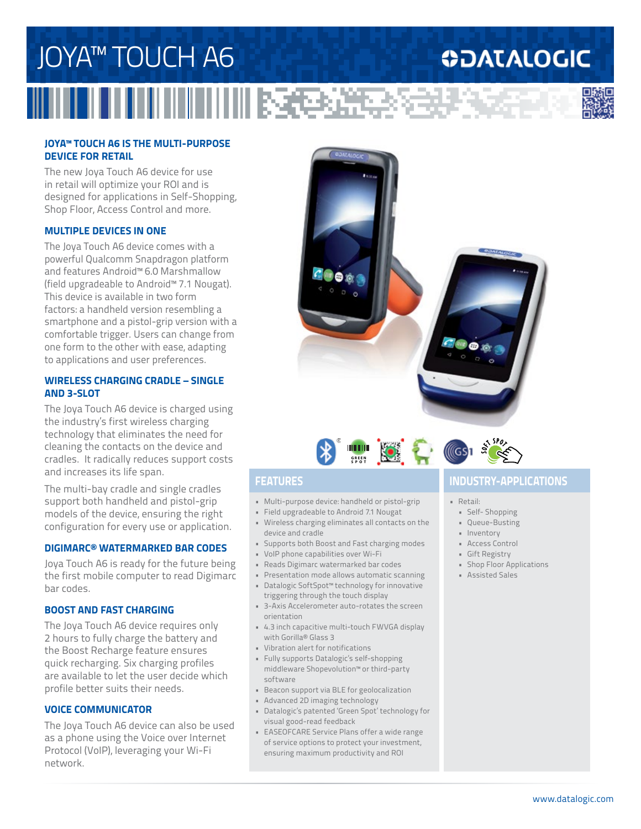## JOYA™ TOUCH A6 **ODATALOGIC 川尾毛が建ち込み**

### **JOYA™ TOUCH A6 IS THE MULTI-PURPOSE DEVICE FOR RETAIL**

The new Joya Touch A6 device for use in retail will optimize your ROI and is designed for applications in Self-Shopping, Shop Floor, Access Control and more.

### **MULTIPLE DEVICES IN ONE**

The Joya Touch A6 device comes with a powerful Qualcomm Snapdragon platform and features Android™ 6.0 Marshmallow (field upgradeable to Android™ 7.1 Nougat). This device is available in two form factors: a handheld version resembling a smartphone and a pistol-grip version with a comfortable trigger. Users can change from one form to the other with ease, adapting to applications and user preferences.

#### **WIRELESS CHARGING CRADLE – SINGLE AND 3-SLOT**

The Joya Touch A6 device is charged using the industry's first wireless charging technology that eliminates the need for cleaning the contacts on the device and cradles. It radically reduces support costs and increases its life span.

The multi-bay cradle and single cradles support both handheld and pistol-grip models of the device, ensuring the right configuration for every use or application.

### **DIGIMARC® WATERMARKED BAR CODES**

Joya Touch A6 is ready for the future being the first mobile computer to read Digimarc bar codes.

#### **BOOST AND FAST CHARGING**

The Joya Touch A6 device requires only 2 hours to fully charge the battery and the Boost Recharge feature ensures quick recharging. Six charging profiles are available to let the user decide which profile better suits their needs.

#### **VOICE COMMUNICATOR**

The Joya Touch A6 device can also be used as a phone using the Voice over Internet Protocol (VoIP), leveraging your Wi-Fi network.



- Multi-purpose device: handheld or pistol-grip
- Field upgradeable to Android 7.1 Nougat • Wireless charging eliminates all contacts on the device and cradle
- Supports both Boost and Fast charging modes
- VoIP phone capabilities over Wi-Fi
- Reads Digimarc watermarked bar codes
- Presentation mode allows automatic scanning
- Datalogic SoftSpot™ technology for innovative triggering through the touch display
- 3-Axis Accelerometer auto-rotates the screen orientation
- 4.3 inch capacitive multi-touch FWVGA display with Gorilla® Glass 3
- Vibration alert for notifications
- Fully supports Datalogic's self-shopping middleware Shopevolution™ or third-party software
- Beacon support via BLE for geolocalization
- Advanced 2D imaging technology
- Datalogic's patented 'Green Spot' technology for visual good-read feedback
- EASEOFCARE Service Plans offer a wide range of service options to protect your investment, ensuring maximum productivity and ROI



#### • Retail:

- Self- Shopping
- Queue-Busting
- Inventory
- Access Control
- Gift Registry
- Shop Floor Applications
- Assisted Sales